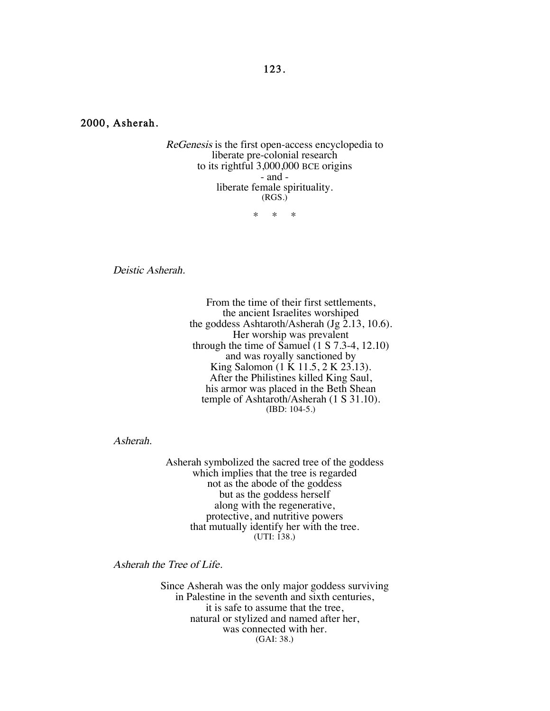2000, Asherah.

ReGenesis is the first open-access encyclopedia to liberate pre-colonial research to its rightful 3,000,000 BCE origins - and liberate female spirituality. (RGS.)

\* \* \*

Deistic Asherah.

From the time of their first settlements, the ancient Israelites worshiped the goddess Ashtaroth/Asherah (Jg 2.13, 10.6). Her worship was prevalent through the time of Samuel  $(1 S 7.3-4, 12.10)$ and was royally sanctioned by King Salomon (1 K 11.5, 2 K 23.13). After the Philistines killed King Saul, his armor was placed in the Beth Shean temple of Ashtaroth/Asherah (1 S 31.10). (IBD: 104-5.)

Asherah.

Asherah symbolized the sacred tree of the goddess which implies that the tree is regarded not as the abode of the goddess but as the goddess herself along with the regenerative, protective, and nutritive powers that mutually identify her with the tree. (UTI: 138.)

Asherah the Tree of Life.

Since Asherah was the only major goddess surviving in Palestine in the seventh and sixth centuries, it is safe to assume that the tree, natural or stylized and named after her, was connected with her. (GAI: 38.)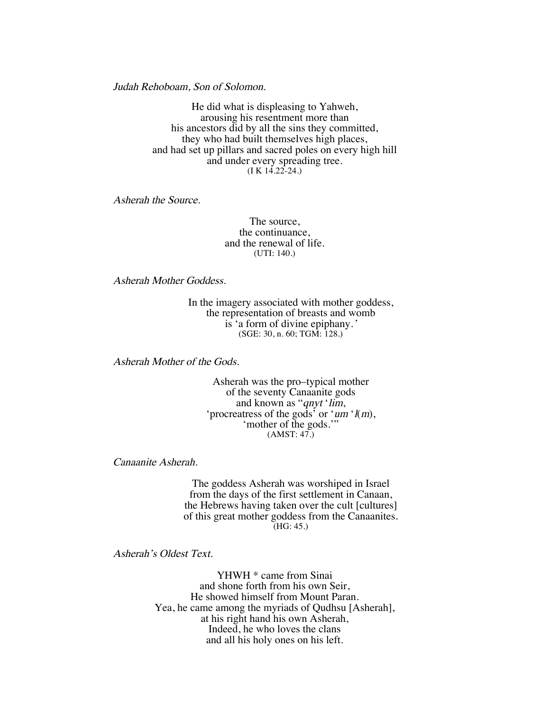Judah Rehoboam, Son of Solomon.

He did what is displeasing to Yahweh, arousing his resentment more than his ancestors did by all the sins they committed, they who had built themselves high places, and had set up pillars and sacred poles on every high hill and under every spreading tree.  $(I K 14.22 - 24.)$ 

Asherah the Source.

The source, the continuance, and the renewal of life. (UTI: 140.)

Asherah Mother Goddess.

In the imagery associated with mother goddess, the representation of breasts and womb is 'a form of divine epiphany.' (SGE: 30, n. 60; TGM: 128.)

Asherah Mother of the Gods.

Asherah was the pro–typical mother of the seventy Canaanite gods and known as "*qnyt* '*lim*, 'procreatress of the gods' or 'um ' $l(m)$ , 'mother of the gods."  $(AMST: 47.)$ 

Canaanite Asherah.

The goddess Asherah was worshiped in Israel from the days of the first settlement in Canaan, the Hebrews having taken over the cult [cultures] of this great mother goddess from the Canaanites. (HG: 45.)

Asherah's Oldest Text.

YHWH \* came from Sinai and shone forth from his own Seir, He showed himself from Mount Paran. Yea, he came among the myriads of Qudhsu [Asherah], at his right hand his own Asherah, Indeed, he who loves the clans and all his holy ones on his left.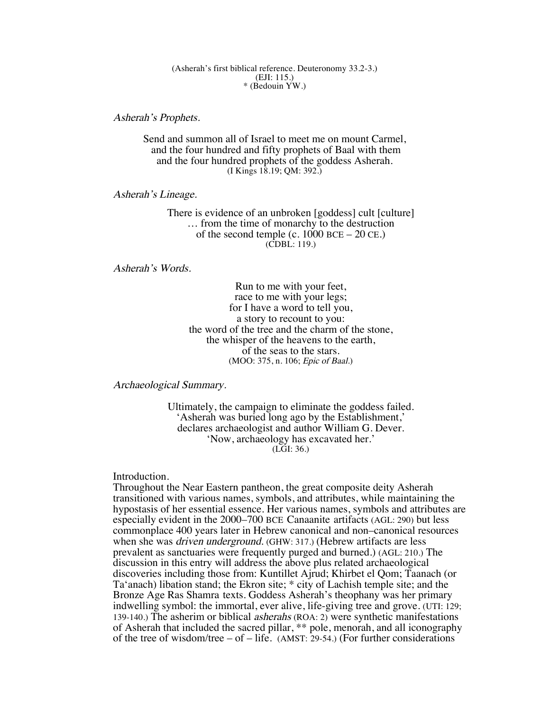#### (Asherah's first biblical reference. Deuteronomy 33.2-3.) (EJI: 115.) \* (Bedouin YW.)

Asherah's Prophets.

Send and summon all of Israel to meet me on mount Carmel, and the four hundred and fifty prophets of Baal with them and the four hundred prophets of the goddess Asherah. (I Kings 18.19; QM: 392.)

Asherah's Lineage.

There is evidence of an unbroken [goddess] cult [culture] … from the time of monarchy to the destruction of the second temple (c.  $1000$  BCE –  $20$  CE.) (CDBL: 119.)

Asherah's Words.

Run to me with your feet, race to me with your legs; for I have a word to tell you, a story to recount to you: the word of the tree and the charm of the stone, the whisper of the heavens to the earth, of the seas to the stars. (MOO: 375, n. 106; Epic of Baal.)

Archaeological Summary.

Ultimately, the campaign to eliminate the goddess failed. 'Asherah was buried long ago by the Establishment,' declares archaeologist and author William G. Dever. 'Now, archaeology has excavated her.'  $(L\ddot{G}I: 36.)$ 

Introduction.

Throughout the Near Eastern pantheon, the great composite deity Asherah transitioned with various names, symbols, and attributes, while maintaining the hypostasis of her essential essence. Her various names, symbols and attributes are especially evident in the 2000–700 BCE Canaanite artifacts (AGL: 290) but less commonplace 400 years later in Hebrew canonical and non–canonical resources when she was *driven underground*. (GHW: 317.) (Hebrew artifacts are less prevalent as sanctuaries were frequently purged and burned.) (AGL: 210.) The discussion in this entry will address the above plus related archaeological discoveries including those from: Kuntillet Ajrud; Khirbet el Qom; Taanach (or Ta'anach) libation stand; the Ekron site; \* city of Lachish temple site; and the Bronze Age Ras Shamra texts. Goddess Asherah's theophany was her primary indwelling symbol: the immortal, ever alive, life-giving tree and grove. (UTI: 129; 139-140.) The asherim or biblical asherahs (ROA: 2) were synthetic manifestations of Asherah that included the sacred pillar, \*\* pole, menorah, and all iconography of the tree of wisdom/tree – of – life.  $(AMST: 29-54.)$  (For further considerations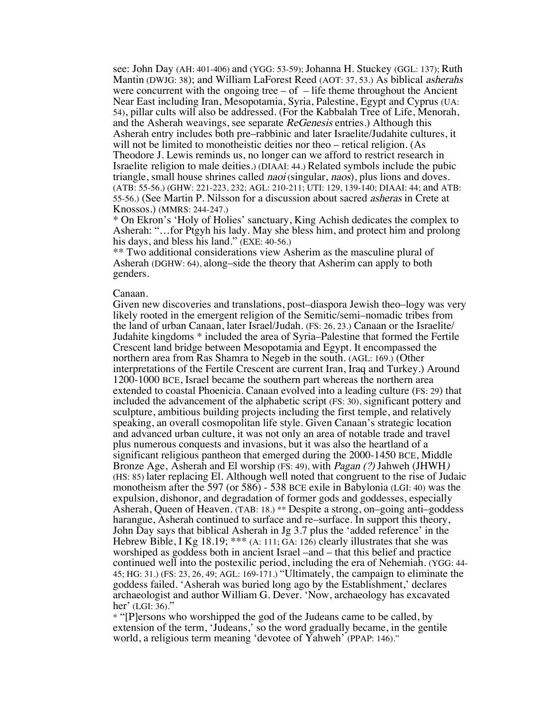see: John Day (AH: 401-406) and (YGG: 53-59); Johanna H. Stuckey (GGL: 137); Ruth Mantin (DWJG: 38); and William LaForest Reed (AOT: 37, 53.) As biblical asherahs were concurrent with the ongoing tree  $-$  of  $-$  life theme throughout the Ancient Near East including Iran, Mesopotamia, Syria, Palestine, Egypt and Cyprus (UA: 54), pillar cults will also be addressed. (For the Kabbalah Tree of Life, Menorah, and the Asherah weavings, see separate ReGenesis entries.) Although this Asherah entry includes both pre–rabbinic and later Israelite/Judahite cultures, it will not be limited to monotheistic deities nor theo – retical religion. (As Theodore J. Lewis reminds us, no longer can we afford to restrict research in Israelite religion to male deities.) (DIAAI: 44.) Related symbols include the pubic triangle, small house shrines called *naoi* (singular, *naos*), plus lions and doves. (ATB: 55-56.) (GHW: 221-223, 232; AGL: 210-211; UTI: 129, 139-140; DIAAI: 44; and ATB: 55-56.) (See Martin P. Nilsson for a discussion about sacred asheras in Crete at Knossos.) (MMRS: 244-247.)

\* On Ekron's 'Holy of Holies' sanctuary, King Achish dedicates the complex to Asherah: "…for Ptgyh his lady. May she bless him, and protect him and prolong his days, and bless his land." (EXE: 40-56.)

\*\* Two additional considerations view Asherim as the masculine plural of Asherah (DGHW: 64), along–side the theory that Asherim can apply to both genders.

#### Canaan.

Given new discoveries and translations, post–diaspora Jewish theo–logy was very likely rooted in the emergent religion of the Semitic/semi–nomadic tribes from the land of urban Canaan, later Israel/Judah. (FS: 26, 23.) Canaan or the Israelite/ Judahite kingdoms \* included the area of Syria–Palestine that formed the Fertile Crescent land bridge between Mesopotamia and Egypt. It encompassed the northern area from Ras Shamra to Negeb in the south. (AGL: 169.) (Other interpretations of the Fertile Crescent are current Iran, Iraq and Turkey.) Around 1200-1000 BCE, Israel became the southern part whereas the northern area extended to coastal Phoenicia. Canaan evolved into a leading culture (FS: 29) that included the advancement of the alphabetic script (FS: 30), significant pottery and sculpture, ambitious building projects including the first temple, and relatively speaking, an overall cosmopolitan life style. Given Canaan's strategic location and advanced urban culture, it was not only an area of notable trade and travel plus numerous conquests and invasions, but it was also the heartland of a significant religious pantheon that emerged during the 2000-1450 BCE, Middle Bronze Age, Asherah and El worship (FS: 49), with Pagan (?) Jahweh (JHWH) (HS: 85) later replacing El. Although well noted that congruent to the rise of Judaic monotheism after the 597 (or 586) - 538 BCE exile in Babylonia (LGI: 40) was the expulsion, dishonor, and degradation of former gods and goddesses, especially Asherah, Queen of Heaven. (TAB: 18.) \*\* Despite a strong, on–going anti–goddess harangue, Asherah continued to surface and re–surface. In support this theory, John Day says that biblical Asherah in Jg 3.7 plus the 'added reference' in the Hebrew Bible, I Kg 18.19; \*\*\* (A: 111; GA: 126) clearly illustrates that she was worshiped as goddess both in ancient Israel –and – that this belief and practice continued well into the postexilic period, including the era of Nehemiah. (YGG: 44- 45; HG: 31.) (FS: 23, 26, 49; AGL: 169-171.) "Ultimately, the campaign to eliminate the goddess failed. 'Asherah was buried long ago by the Establishment,' declares archaeologist and author William G. Dever. 'Now, archaeology has excavated her' (LGI: 36)."

\* "[P]ersons who worshipped the god of the Judeans came to be called, by extension of the term, 'Judeans,' so the word gradually became, in the gentile world, a religious term meaning 'devotee of Yahweh' (PPAP: 146)."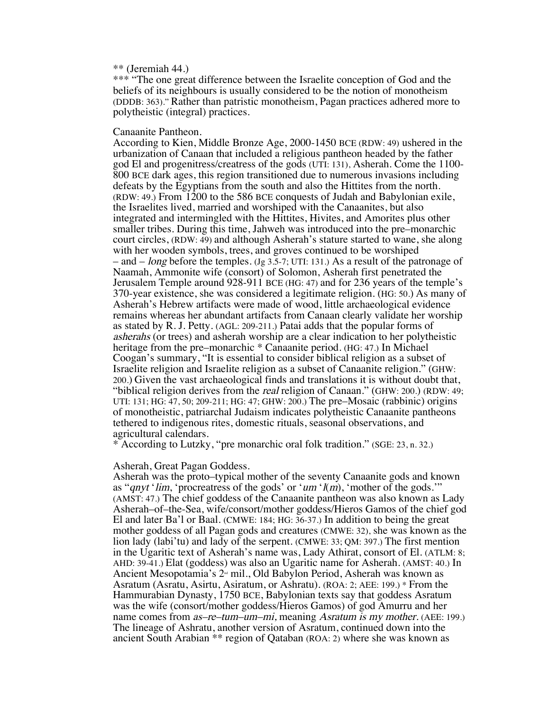# \*\* (Jeremiah 44.)

\*\*\* "The one great difference between the Israelite conception of God and the beliefs of its neighbours is usually considered to be the notion of monotheism (DDDB: 363)." Rather than patristic monotheism, Pagan practices adhered more to polytheistic (integral) practices.

# Canaanite Pantheon.

According to Kien, Middle Bronze Age, 2000-1450 BCE (RDW: 49) ushered in the urbanization of Canaan that included a religious pantheon headed by the father god El and progenitress/creatress of the gods (UTI: 131), Asherah. Come the 1100- 800 BCE dark ages, this region transitioned due to numerous invasions including defeats by the Egyptians from the south and also the Hittites from the north. (RDW: 49.) From 1200 to the 586 BCE conquests of Judah and Babylonian exile, the Israelites lived, married and worshiped with the Canaanites, but also integrated and intermingled with the Hittites, Hivites, and Amorites plus other smaller tribes. During this time, Jahweh was introduced into the pre–monarchic court circles, (RDW: 49) and although Asherah's stature started to wane, she along with her wooden symbols, trees, and groves continued to be worshiped – and – long before the temples. (Jg 3.5-7; UTI: 131.) As a result of the patronage of Naamah, Ammonite wife (consort) of Solomon, Asherah first penetrated the Jerusalem Temple around 928-911 BCE (HG: 47) and for 236 years of the temple's 370-year existence, she was considered a legitimate religion. (HG: 50.) As many of Asherah's Hebrew artifacts were made of wood, little archaeological evidence remains whereas her abundant artifacts from Canaan clearly validate her worship as stated by R. J. Petty. (AGL: 209-211.) Patai adds that the popular forms of asherahs (or trees) and asherah worship are a clear indication to her polytheistic heritage from the pre–monarchic \* Canaanite period. (HG: 47.) In Michael Coogan's summary, "It is essential to consider biblical religion as a subset of Israelite religion and Israelite religion as a subset of Canaanite religion." (GHW: 200.) Given the vast archaeological finds and translations it is without doubt that, "biblical religion derives from the *real* religion of Canaan." (GHW: 200.) (RDW: 49; UTI: 131; HG: 47, 50; 209-211; HG: 47; GHW: 200.) The pre–Mosaic (rabbinic) origins of monotheistic, patriarchal Judaism indicates polytheistic Canaanite pantheons tethered to indigenous rites, domestic rituals, seasonal observations, and agricultural calendars.

\* According to Lutzky, "pre monarchic oral folk tradition." (SGE: 23, n. 32.)

### Asherah, Great Pagan Goddess.

Asherah was the proto–typical mother of the seventy Canaanite gods and known as "qnyt 'lim, 'procreatress of the gods' or 'um ' $l(m)$ , 'mother of the gods.'" (AMST: 47.) The chief goddess of the Canaanite pantheon was also known as Lady Asherah–of–the-Sea, wife/consort/mother goddess/Hieros Gamos of the chief god El and later Ba'l or Baal. (CMWE: 184; HG: 36-37.) In addition to being the great mother goddess of all Pagan gods and creatures (CMWE: 32), she was known as the lion lady (labi'tu) and lady of the serpent. (CMWE: 33; QM: 397.) The first mention in the Ugaritic text of Asherah's name was, Lady Athirat, consort of El. (ATLM: 8; AHD: 39-41.) Elat (goddess) was also an Ugaritic name for Asherah. (AMST: 40.) In Ancient Mesopotamia's  $2<sup>\omega</sup>$  mil., Old Babylon Period, Asherah was known as Asratum (Asratu, Asirtu, Asiratum, or Ashratu). (ROA: 2; AEE: 199.) \* From the Hammurabian Dynasty, 1750 BCE, Babylonian texts say that goddess Asratum was the wife (consort/mother goddess/Hieros Gamos) of god Amurru and her name comes from as–re–tum–um–mi, meaning Asratum is my mother. (AEE: 199.) The lineage of Ashratu, another version of Asratum, continued down into the ancient South Arabian \*\* region of Qataban (ROA: 2) where she was known as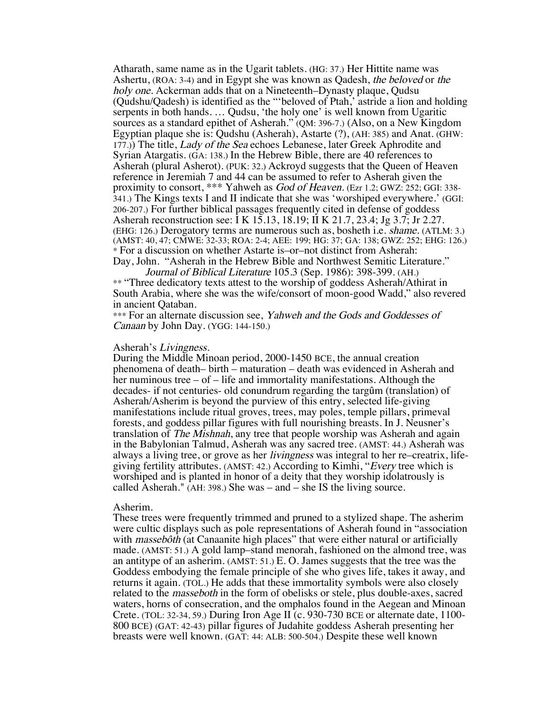Atharath, same name as in the Ugarit tablets. (HG: 37.) Her Hittite name was Ashertu, (ROA: 3-4) and in Egypt she was known as Qadesh, the beloved or the holy one. Ackerman adds that on a Nineteenth–Dynasty plaque, Qudsu (Qudshu/Qadesh) is identified as the "'beloved of Ptah,' astride a lion and holding serpents in both hands. … Qudsu, 'the holy one' is well known from Ugaritic sources as a standard epithet of Asherah." (QM: 396-7.) (Also, on a New Kingdom Egyptian plaque she is: Qudshu (Asherah), Astarte (?), (AH: 385) and Anat. (GHW: 177.)) The title, *Lady of the Sea* echoes Lebanese, later Greek Aphrodite and Syrian Atargatis. (GA: 138.) In the Hebrew Bible, there are 40 references to Asherah (plural Asherot). (PUK: 32.) Ackroyd suggests that the Queen of Heaven reference in Jeremiah 7 and 44 can be assumed to refer to Asherah given the proximity to consort, \*\*\* Yahweh as God of Heaven. (Ezr 1.2; GWZ: 252; GGI: 338- 341.) The Kings texts I and II indicate that she was 'worshiped everywhere.' (GGI: 206-207.) For further biblical passages frequently cited in defense of goddess Asherah reconstruction see: I K 15.13, 18.19; II K 21.7, 23.4; Jg 3.7; Jr 2.27. (EHG: 126.) Derogatory terms are numerous such as, bosheth i.e. shame. (ATLM: 3.) (AMST: 40, 47; CMWE: 32-33; ROA: 2-4; AEE: 199; HG: 37; GA: 138; GWZ: 252; EHG: 126.) \* For a discussion on whether Astarte is–or–not distinct from Asherah: Day, John. "Asherah in the Hebrew Bible and Northwest Semitic Literature."

Journal of Biblical Literature 105.3 (Sep. 1986): 398-399. (AH.) \*\* "Three dedicatory texts attest to the worship of goddess Asherah/Athirat in South Arabia, where she was the wife/consort of moon-good Wadd," also revered in ancient Qataban.

\*\*\* For an alternate discussion see, Yahweh and the Gods and Goddesses of Canaan by John Day. (YGG: 144-150.)

#### Asherah's Livingness.

During the Middle Minoan period, 2000-1450 BCE, the annual creation phenomena of death– birth – maturation – death was evidenced in Asherah and her numinous tree – of – life and immortality manifestations. Although the decades- if not centuries- old conundrum regarding the targûm (translation) of Asherah/Asherim is beyond the purview of this entry, selected life-giving manifestations include ritual groves, trees, may poles, temple pillars, primeval forests, and goddess pillar figures with full nourishing breasts. In J. Neusner's translation of *The Mishnah*, any tree that people worship was Asherah and again in the Babylonian Talmud, Asherah was any sacred tree. (AMST: 44.) Asherah was always a living tree, or grove as her livingness was integral to her re–creatrix, lifegiving fertility attributes. (AMST: 42.) According to Kimhi, "Every tree which is worshiped and is planted in honor of a deity that they worship idolatrously is called Asherah." (AH: 398.) She was – and – she IS the living source.

#### Asherim.

These trees were frequently trimmed and pruned to a stylized shape. The asherim were cultic displays such as pole representations of Asherah found in "association with *massebôth* (at Canaanite high places" that were either natural or artificially made. (AMST: 51.) A gold lamp–stand menorah, fashioned on the almond tree, was an antitype of an asherim. (AMST: 51.) E. O. James suggests that the tree was the Goddess embodying the female principle of she who gives life, takes it away, and returns it again. (TOL.) He adds that these immortality symbols were also closely related to the masseboth in the form of obelisks or stele, plus double-axes, sacred waters, horns of consecration, and the omphalos found in the Aegean and Minoan Crete. (TOL: 32-34, 59.) During Iron Age II (c. 930-730 BCE or alternate date, 1100- <sup>800</sup> BCE) (GAT: 42-43) pillar figures of Judahite goddess Asherah presenting her breasts were well known. (GAT: 44: ALB: 500-504.) Despite these well known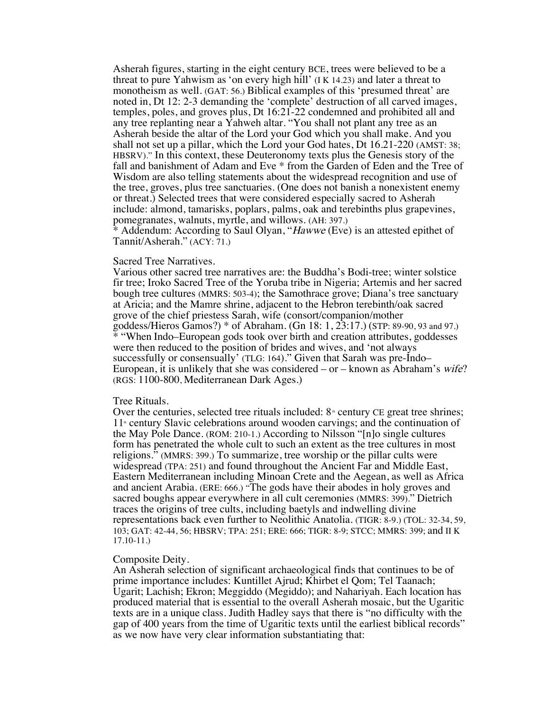Asherah figures, starting in the eight century BCE, trees were believed to be a threat to pure Yahwism as 'on every high hill' (I K 14.23) and later a threat to monotheism as well. (GAT: 56.) Biblical examples of this 'presumed threat' are noted in, Dt 12: 2-3 demanding the 'complete' destruction of all carved images, temples, poles, and groves plus, Dt 16:21-22 condemned and prohibited all and any tree replanting near a Yahweh altar. "You shall not plant any tree as an Asherah beside the altar of the Lord your God which you shall make. And you shall not set up a pillar, which the Lord your God hates, Dt 16.21-220 (AMST: 38; HBSRV)." In this context, these Deuteronomy texts plus the Genesis story of the fall and banishment of Adam and Eve \* from the Garden of Eden and the Tree of Wisdom are also telling statements about the widespread recognition and use of the tree, groves, plus tree sanctuaries. (One does not banish a nonexistent enemy or threat.) Selected trees that were considered especially sacred to Asherah include: almond, tamarisks, poplars, palms, oak and terebinths plus grapevines, pomegranates, walnuts, myrtle, and willows. (AH: 397.)

\* Addendum: According to Saul Olyan, "Hawwe (Eve) is an attested epithet of Tannit/Asherah." (ACY: 71.)

# Sacred Tree Narratives.

Various other sacred tree narratives are: the Buddha's Bodi-tree; winter solstice fir tree; Iroko Sacred Tree of the Yoruba tribe in Nigeria; Artemis and her sacred bough tree cultures (MMRS: 503-4); the Samothrace grove; Diana's tree sanctuary at Aricia; and the Mamre shrine, adjacent to the Hebron terebinth/oak sacred grove of the chief priestess Sarah, wife (consort/companion/mother goddess/Hieros Gamos?) \* of Abraham. (Gn 18: 1, 23:17.) (STP: 89-90, 93 and 97.) \* "When Indo–European gods took over birth and creation attributes, goddesses were then reduced to the position of brides and wives, and 'not always successfully or consensually' (TLG: 164)." Given that Sarah was pre-Indo– European, it is unlikely that she was considered  $-$  or  $-$  known as Abraham's *wife*? (RGS: 1100-800, Mediterranean Dark Ages.)

### Tree Rituals.

Over the centuries, selected tree rituals included:  $8<sup>*</sup>$  century CE great tree shrines;  $11<sup>*</sup>$  century Slavic celebrations around wooden carvings; and the continuation of the May Pole Dance. (ROM: 210-1.) According to Nilsson "[n]o single cultures form has penetrated the whole cult to such an extent as the tree cultures in most religions." (MMRS: 399.) To summarize, tree worship or the pillar cults were widespread (TPA: 251) and found throughout the Ancient Far and Middle East, Eastern Mediterranean including Minoan Crete and the Aegean, as well as Africa and ancient Arabia. (ERE: 666.) "The gods have their abodes in holy groves and sacred boughs appear everywhere in all cult ceremonies (MMRS: 399)." Dietrich traces the origins of tree cults, including baetyls and indwelling divine representations back even further to Neolithic Anatolia. (TIGR: 8-9.) (TOL: 32-34, 59, 103; GAT: 42-44, 56; HBSRV; TPA: 251; ERE: 666; TIGR: 8-9; STCC; MMRS: 399; and II K 17.10-11.)

### Composite Deity.

An Asherah selection of significant archaeological finds that continues to be of prime importance includes: Kuntillet Ajrud; Khirbet el Qom; Tel Taanach; Ugarit; Lachish; Ekron; Meggiddo (Megiddo); and Nahariyah. Each location has produced material that is essential to the overall Asherah mosaic, but the Ugaritic texts are in a unique class. Judith Hadley says that there is "no difficulty with the gap of 400 years from the time of Ugaritic texts until the earliest biblical records" as we now have very clear information substantiating that: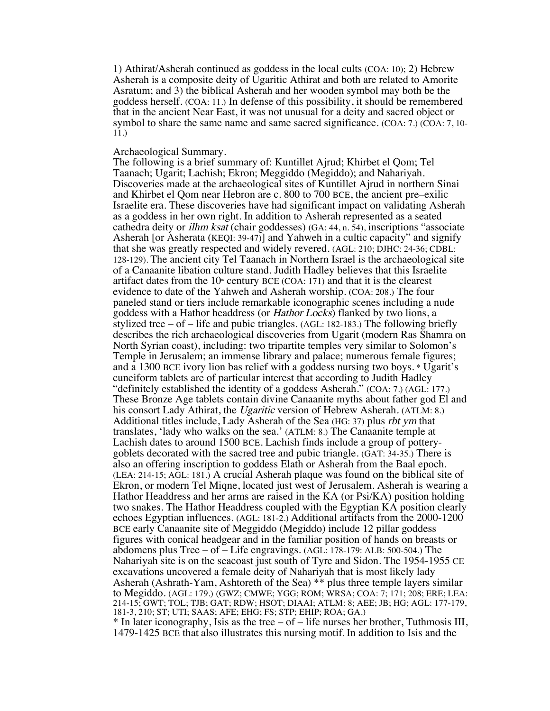1) Athirat/Asherah continued as goddess in the local cults (COA: 10); 2) Hebrew Asherah is a composite deity of Ugaritic Athirat and both are related to Amorite Asratum; and 3) the biblical Asherah and her wooden symbol may both be the goddess herself. (COA: 11.) In defense of this possibility, it should be remembered that in the ancient Near East, it was not unusual for a deity and sacred object or symbol to share the same name and same sacred significance. (COA: 7.) (COA: 7, 10- 11.)

### Archaeological Summary.

The following is a brief summary of: Kuntillet Ajrud; Khirbet el Qom; Tel Taanach; Ugarit; Lachish; Ekron; Meggiddo (Megiddo); and Nahariyah. Discoveries made at the archaeological sites of Kuntillet Ajrud in northern Sinai and Khirbet el Qom near Hebron are c. 800 to 700 BCE, the ancient pre–exilic Israelite era. These discoveries have had significant impact on validating Asherah as a goddess in her own right. In addition to Asherah represented as a seated cathedra deity or ilhm ksat (chair goddesses) (GA: 44, n. 54), inscriptions "associate Asherah [or Asherata (KEQI: 39-47)] and Yahweh in a cultic capacity" and signify that she was greatly respected and widely revered. (AGL: 210; DJHC: 24-36; CDBL: 128-129). The ancient city Tel Taanach in Northern Israel is the archaeological site of a Canaanite libation culture stand. Judith Hadley believes that this Israelite artifact dates from the  $10<sup>*</sup>$  century BCE (COA: 171) and that it is the clearest evidence to date of the Yahweh and Asherah worship. (COA: 208.) The four paneled stand or tiers include remarkable iconographic scenes including a nude goddess with a Hathor headdress (or Hathor Locks) flanked by two lions, a stylized tree  $-$  of  $-$  life and pubic triangles. (AGL: 182-183.) The following briefly describes the rich archaeological discoveries from Ugarit (modern Ras Shamra on North Syrian coast), including: two tripartite temples very similar to Solomon's Temple in Jerusalem; an immense library and palace; numerous female figures; and a 1300 BCE ivory lion bas relief with a goddess nursing two boys. \* Ugarit's cuneiform tablets are of particular interest that according to Judith Hadley "definitely established the identity of a goddess Asherah." (COA: 7.) (AGL: 177.) These Bronze Age tablets contain divine Canaanite myths about father god El and his consort Lady Athirat, the Ugaritic version of Hebrew Asherah. (ATLM: 8.) Additional titles include, Lady Asherah of the Sea (HG: 37) plus rbt ym that translates, 'lady who walks on the sea.' (ATLM: 8.) The Canaanite temple at Lachish dates to around 1500 BCE. Lachish finds include a group of potterygoblets decorated with the sacred tree and pubic triangle. (GAT: 34-35.) There is also an offering inscription to goddess Elath or Asherah from the Baal epoch. (LEA: 214-15; AGL: 181.) A crucial Asherah plaque was found on the biblical site of Ekron, or modern Tel Miqne, located just west of Jerusalem. Asherah is wearing a Hathor Headdress and her arms are raised in the KA (or Psi/KA) position holding two snakes. The Hathor Headdress coupled with the Egyptian KA position clearly echoes Egyptian influences. (AGL: 181-2.) Additional artifacts from the 2000-1200 BCE early Canaanite site of Meggiddo (Megiddo) include 12 pillar goddess figures with conical headgear and in the familiar position of hands on breasts or abdomens plus Tree – of – Life engravings. (AGL: 178-179: ALB: 500-504.) The Nahariyah site is on the seacoast just south of Tyre and Sidon. The 1954-1955 CE excavations uncovered a female deity of Nahariyah that is most likely lady Asherah (Ashrath-Yam, Ashtoreth of the Sea) \*\* plus three temple layers similar to Megiddo. (AGL: 179.) (GWZ; CMWE; YGG; ROM; WRSA; COA: 7; 171; 208; ERE; LEA: 214-15; GWT; TOL; TJB; GAT; RDW; HSOT; DIAAI; ATLM: 8; AEE; JB; HG; AGL: 177-179, 181-3, 210; ST; UTI; SAAS; AFE; EHG; FS; STP; EHIP; ROA; GA.)

 $*$  In later iconography, Isis as the tree – of – life nurses her brother, Tuthmosis III, 1479-1425 BCE that also illustrates this nursing motif. In addition to Isis and the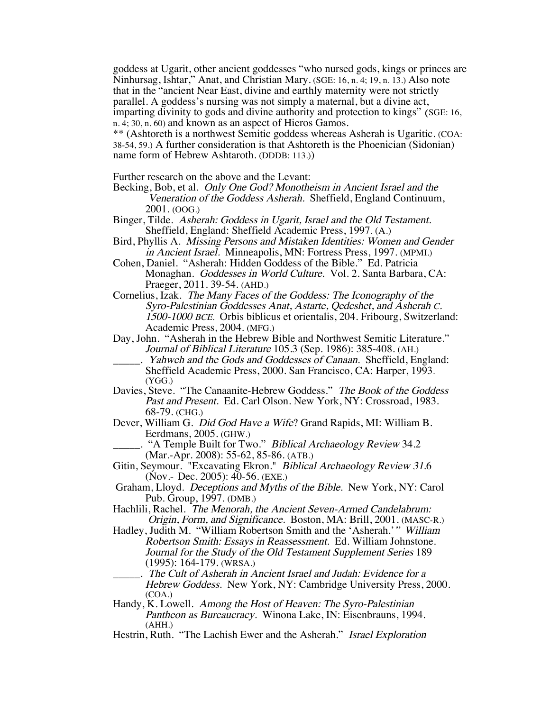goddess at Ugarit, other ancient goddesses "who nursed gods, kings or princes are Ninhursag, Ishtar," Anat, and Christian Mary. (SGE: 16, n. 4; 19, n. 13.) Also note that in the "ancient Near East, divine and earthly maternity were not strictly parallel. A goddess's nursing was not simply a maternal, but a divine act, imparting divinity to gods and divine authority and protection to kings" (SGE: 16, n. 4; 30, n. 60) and known as an aspect of Hieros Gamos.

\*\* (Ashtoreth is a northwest Semitic goddess whereas Asherah is Ugaritic. (COA: 38-54, 59.) A further consideration is that Ashtoreth is the Phoenician (Sidonian) name form of Hebrew Ashtaroth. (DDDB: 113.))

Further research on the above and the Levant:

Becking, Bob, et al. Only One God? Monotheism in Ancient Israel and the Veneration of the Goddess Asherah. Sheffield, England Continuum, 2001. (OOG.)

- Binger, Tilde. Asherah: Goddess in Ugarit, Israel and the Old Testament. Sheffield, England: Sheffield Academic Press, 1997. (A.)
- Bird, Phyllis A. Missing Persons and Mistaken Identities: Women and Gender in Ancient Israel. Minneapolis, MN: Fortress Press, 1997. (MPMI.)

Cohen, Daniel. "Asherah: Hidden Goddess of the Bible." Ed. Patricia Monaghan. Goddesses in World Culture. Vol. 2. Santa Barbara, CA: Praeger, 2011. 39-54. (AHD.)

Cornelius, Izak. The Many Faces of the Goddess: The Iconography of the Syro-Palestinian Goddesses Anat, Astarte, Qedeshet, and Asherah C. 1500-1000 BCE. Orbis biblicus et orientalis, 204. Fribourg, Switzerland: Academic Press, 2004. (MFG.)

- Day, John. "Asherah in the Hebrew Bible and Northwest Semitic Literature." Journal of Biblical Literature 105.3 (Sep. 1986): 385-408. (AH.)
	- Yahweh and the Gods and Goddesses of Canaan. Sheffield, England: Sheffield Academic Press, 2000. San Francisco, CA: Harper, 1993. (YGG.)
- Davies, Steve. "The Canaanite-Hebrew Goddess." The Book of the Goddess Past and Present. Ed. Carl Olson. New York, NY: Crossroad, 1983. 68-79. (CHG.)
- Dever, William G. Did God Have a Wife? Grand Rapids, MI: William B. Eerdmans, 2005. (GHW.)

. "A Temple Built for Two." Biblical Archaeology Review 34.2 (Mar.-Apr. 2008): 55-62, 85-86. (ATB.)

Gitin, Seymour. "Excavating Ekron." Biblical Archaeology Review 31.6 (Nov.- Dec. 2005): 40-56. (EXE.)

Graham, Lloyd. Deceptions and Myths of the Bible. New York, NY: Carol Pub. Group, 1997. (DMB.)

Hachlili, Rachel. The Menorah, the Ancient Seven-Armed Candelabrum: Origin, Form, and Significance. Boston, MA: Brill, 2001. (MASC-R.)

Hadley, Judith M. "William Robertson Smith and the 'Asherah.'" William Robertson Smith: Essays in Reassessment. Ed. William Johnstone. Journal for the Study of the Old Testament Supplement Series 189 (1995): 164-179. (WRSA.)

\_\_\_\_\_. The Cult of Asherah in Ancient Israel and Judah: Evidence for a Hebrew Goddess. New York, NY: Cambridge University Press, 2000. (COA.)

Handy, K. Lowell. Among the Host of Heaven: The Syro-Palestinian Pantheon as Bureaucracy. Winona Lake, IN: Eisenbrauns, 1994. (AHH.)

Hestrin, Ruth. "The Lachish Ewer and the Asherah." *Israel Exploration*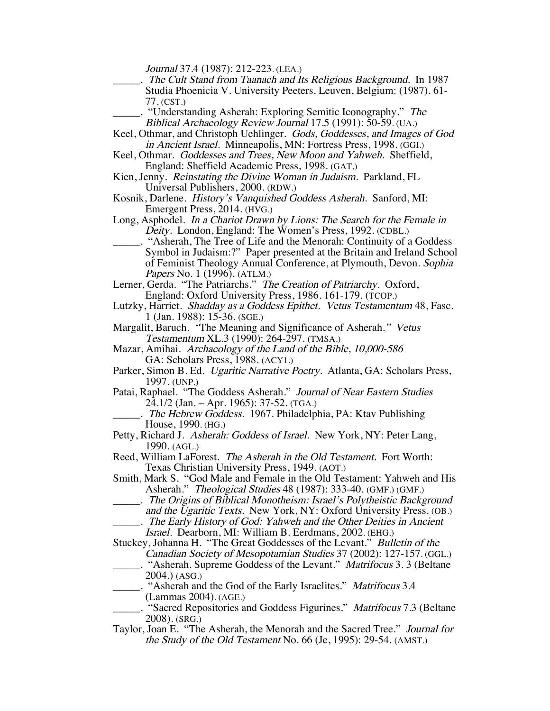Journal 37.4 (1987): 212-223. (LEA.)

- \_\_\_\_\_. The Cult Stand from Taanach and Its Religious Background. In 1987 Studia Phoenicia V. University Peeters. Leuven, Belgium: (1987). 61- 77. (CST.)
	- "Understanding Asherah: Exploring Semitic Iconography." The Biblical Archaeology Review Journal 17.5 (1991): 50-59. (UA.)
- Keel, Othmar, and Christoph Uehlinger. Gods, Goddesses, and Images of God in Ancient Israel. Minneapolis, MN: Fortress Press, 1998. (GGI.)
- Keel, Othmar. Goddesses and Trees, New Moon and Yahweh. Sheffield, England: Sheffield Academic Press, 1998. (GAT.)
- Kien, Jenny. Reinstating the Divine Woman in Judaism. Parkland, FL Universal Publishers, 2000. (RDW.)
- Kosnik, Darlene. History's Vanquished Goddess Asherah. Sanford, MI: Emergent Press, 2014. (HVG.)
- Long, Asphodel. In a Chariot Drawn by Lions: The Search for the Female in Deity. London, England: The Women's Press, 1992. (CDBL.)
- \_\_\_\_\_. "Asherah, The Tree of Life and the Menorah: Continuity of a Goddess Symbol in Judaism:?" Paper presented at the Britain and Ireland School of Feminist Theology Annual Conference, at Plymouth, Devon. Sophia Papers No. 1 (1996). (ATLM.)
- Lerner, Gerda. "The Patriarchs." The Creation of Patriarchy. Oxford, England: Oxford University Press, 1986. 161-179. (TCOP.)
- Lutzky, Harriet. Shadday as a Goddess Epithet. Vetus Testamentum 48, Fasc. 1 (Jan. 1988): 15-36. (SGE.)
- Margalit, Baruch. "The Meaning and Significance of Asherah." Vetus Testamentum XL.3 (1990): 264-297. (TMSA.)
- Mazar, Amihai. Archaeology of the Land of the Bible, 10,000-586 GA: Scholars Press, 1988. (ACY1.)
- Parker, Simon B. Ed. Ugaritic Narrative Poetry. Atlanta, GA: Scholars Press, 1997. (UNP.)
- Patai, Raphael. "The Goddess Asherah." Journal of Near Eastern Studies 24.1/2 (Jan. – Apr. 1965): 37-52. (TGA.)
	- . The Hebrew Goddess. 1967. Philadelphia, PA: Ktav Publishing House, 1990. (HG.)
- Petty, Richard J. Asherah: Goddess of Israel. New York, NY: Peter Lang, 1990. (AGL.)
- Reed, William LaForest. The Asherah in the Old Testament. Fort Worth: Texas Christian University Press, 1949. (AOT.)
- Smith, Mark S. "God Male and Female in the Old Testament: Yahweh and His Asherah." Theological Studies 48 (1987): 333-40. (GMF.) (GMF.)
- \_\_\_\_\_. The Origins of Biblical Monotheism: Israel's Polytheistic Background and the Ugaritic Texts. New York, NY: Oxford University Press. (OB.) \_\_\_\_\_. The Early History of God: Yahweh and the Other Deities in Ancient
	- Israel. Dearborn, MI: William B. Eerdmans, 2002. (EHG.)

Stuckey, Johanna H. "The Great Goddesses of the Levant." Bulletin of the Canadian Society of Mesopotamian Studies 37 (2002): 127-157. (GGL.)

- \_\_\_\_\_. "Asherah. Supreme Goddess of the Levant." Matrifocus 3. 3 (Beltane 2004.) (ASG.)
	- \_\_\_\_\_. "Asherah and the God of the Early Israelites." Matrifocus 3.4 (Lammas 2004). (AGE.)
- ... "Sacred Repositories and Goddess Figurines." Matrifocus 7.3 (Beltane 2008). (SRG.)
- Taylor, Joan E. "The Asherah, the Menorah and the Sacred Tree." Journal for the Study of the Old Testament No. 66 (Je, 1995): 29-54. (AMST.)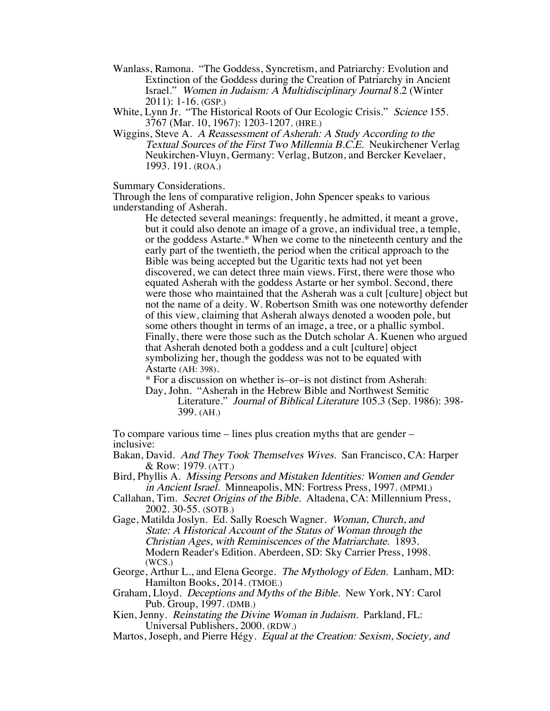Wanlass, Ramona. "The Goddess, Syncretism, and Patriarchy: Evolution and Extinction of the Goddess during the Creation of Patriarchy in Ancient Israel." Women in Judaism: A Multidisciplinary Journal 8.2 (Winter 2011): 1-16. (GSP.)

White, Lynn Jr. "The Historical Roots of Our Ecologic Crisis." Science 155. 3767 (Mar. 10, 1967): 1203-1207. (HRE.)

Wiggins, Steve A. A Reassessment of Asherah: A Study According to the Textual Sources of the First Two Millennia B.C.E. Neukirchener Verlag Neukirchen-Vluyn, Germany: Verlag, Butzon, and Bercker Kevelaer, 1993. 191. (ROA.)

Summary Considerations.

Through the lens of comparative religion, John Spencer speaks to various understanding of Asherah.

> He detected several meanings: frequently, he admitted, it meant a grove, but it could also denote an image of a grove, an individual tree, a temple, or the goddess Astarte.\* When we come to the nineteenth century and the early part of the twentieth, the period when the critical approach to the Bible was being accepted but the Ugaritic texts had not yet been discovered, we can detect three main views. First, there were those who equated Asherah with the goddess Astarte or her symbol. Second, there were those who maintained that the Asherah was a cult [culture] object but not the name of a deity. W. Robertson Smith was one noteworthy defender of this view, claiming that Asherah always denoted a wooden pole, but some others thought in terms of an image, a tree, or a phallic symbol. Finally, there were those such as the Dutch scholar A. Kuenen who argued that Asherah denoted both a goddess and a cult [culture] object symbolizing her, though the goddess was not to be equated with Astarte (AH: 398).

\* For a discussion on whether is–or–is not distinct from Asherah:

Day, John. "Asherah in the Hebrew Bible and Northwest Semitic Literature." Journal of Biblical Literature 105.3 (Sep. 1986): 398- 399. (AH.)

To compare various time – lines plus creation myths that are gender – inclusive:

Bakan, David. And They Took Themselves Wives. San Francisco, CA: Harper & Row: 1979. (ATT.)

- Bird, Phyllis A. Missing Persons and Mistaken Identities: Women and Gender in Ancient Israel. Minneapolis, MN: Fortress Press, 1997. (MPMI.)
- Callahan, Tim. Secret Origins of the Bible. Altadena, CA: Millennium Press, 2002. 30-55. (SOTB.)
- Gage, Matilda Joslyn. Ed. Sally Roesch Wagner. Woman, Church, and State: A Historical Account of the Status of Woman through the Christian Ages, with Reminiscences of the Matriarchate. 1893. Modern Reader's Edition. Aberdeen, SD: Sky Carrier Press, 1998.

George, Arthur L., and Elena George. The Mythology of Eden. Lanham, MD: Hamilton Books, 2014. (TMOE.)

Graham, Lloyd. Deceptions and Myths of the Bible. New York, NY: Carol Pub. Group, 1997. (DMB.)

Kien, Jenny. Reinstating the Divine Woman in Judaism. Parkland, FL: Universal Publishers, 2000. (RDW.)

Martos, Joseph, and Pierre Hégy. Equal at the Creation: Sexism, Society, and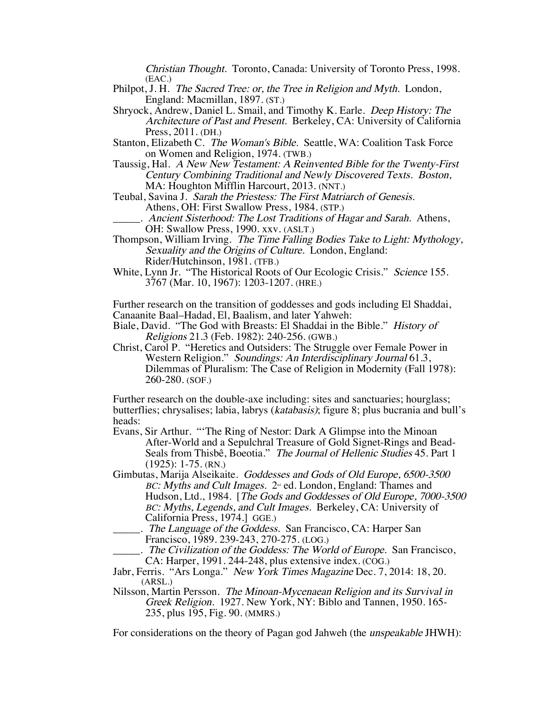Christian Thought. Toronto, Canada: University of Toronto Press, 1998. (EAC.)

- Philpot, J. H. The Sacred Tree: or, the Tree in Religion and Myth. London, England: Macmillan, 1897. (ST.)
- Shryock, Andrew, Daniel L. Smail, and Timothy K. Earle. Deep History: The Architecture of Past and Present. Berkeley, CA: University of California Press, 2011. (DH.)
- Stanton, Elizabeth C. The Woman's Bible. Seattle, WA: Coalition Task Force on Women and Religion, 1974. (TWB.)
- Taussig, Hal. A New New Testament: A Reinvented Bible for the Twenty-First Century Combining Traditional and Newly Discovered Texts. Boston, MA: Houghton Mifflin Harcourt, 2013. (NNT.)
- Teubal, Savina J. Sarah the Priestess: The First Matriarch of Genesis. Athens, OH: First Swallow Press, 1984. (STP.)

. Ancient Sisterhood: The Lost Traditions of Hagar and Sarah. Athens, OH: Swallow Press, 1990. xxv. (ASLT.)

- Thompson, William Irving. The Time Falling Bodies Take to Light: Mythology, Sexuality and the Origins of Culture. London, England: Rider/Hutchinson, 1981. (TFB.)
- White, Lynn Jr. "The Historical Roots of Our Ecologic Crisis." Science 155. 3767 (Mar. 10, 1967): 1203-1207. (HRE.)

Further research on the transition of goddesses and gods including El Shaddai, Canaanite Baal–Hadad, El, Baalism, and later Yahweh:

Biale, David. "The God with Breasts: El Shaddai in the Bible." History of Religions 21.3 (Feb. 1982): 240-256. (GWB.)

Christ, Carol P. "Heretics and Outsiders: The Struggle over Female Power in Western Religion." Soundings: An Interdisciplinary Journal 61.3, Dilemmas of Pluralism: The Case of Religion in Modernity (Fall 1978): 260-280. (SOF.)

Further research on the double-axe including: sites and sanctuaries; hourglass; butterflies; chrysalises; labia, labrys (katabasis); figure 8; plus bucrania and bull's heads:

Evans, Sir Arthur. "'The Ring of Nestor: Dark A Glimpse into the Minoan After-World and a Sepulchral Treasure of Gold Signet-Rings and Bead-Seals from Thisbê, Boeotia." The Journal of Hellenic Studies 45. Part 1 (1925): 1-75. (RN.)

Gimbutas, Marija Alseikaite. Goddesses and Gods of Old Europe, 6500-3500 BC: Myths and Cult Images. 2<sup>nd</sup> ed. London, England: Thames and Hudson, Ltd., 1984. [The Gods and Goddesses of Old Europe, 7000-3500 BC: Myths, Legends, and Cult Images. Berkeley, CA: University of California Press, 1974.] GGE.)

.. The Language of the Goddess. San Francisco, CA: Harper San Francisco, 1989. 239-243, 270-275. (LOG.)

\_\_\_\_\_. The Civilization of the Goddess: The World of Europe. San Francisco, CA: Harper, 1991. 244-248, plus extensive index. (COG.)

Jabr, Ferris. "Ars Longa." New York Times Magazine Dec. 7, 2014: 18, 20. (ARSL.)

Nilsson, Martin Persson. The Minoan-Mycenaean Religion and its Survival in Greek Religion. 1927. New York, NY: Biblo and Tannen, 1950. 165- 235, plus 195, Fig. 90. (MMRS.)

For considerations on the theory of Pagan god Jahweh (the *unspeakable* JHWH):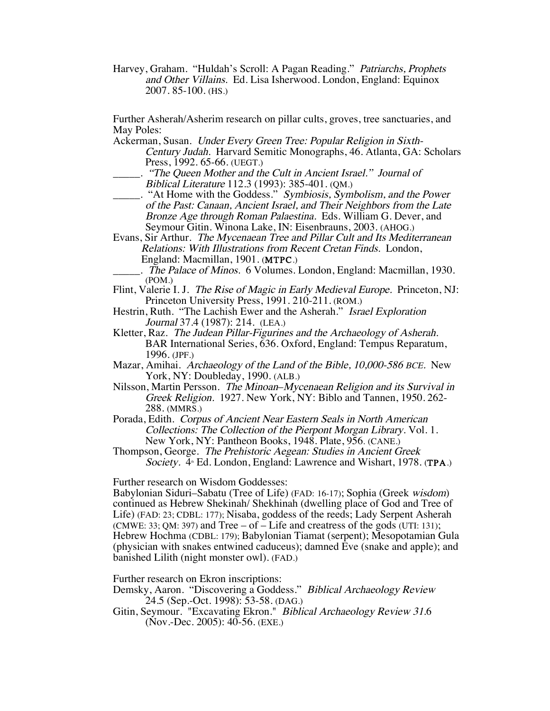Harvey, Graham. "Huldah's Scroll: A Pagan Reading." Patriarchs, Prophets and Other Villains. Ed. Lisa Isherwood. London, England: Equinox 2007. 85-100. (HS.)

Further Asherah/Asherim research on pillar cults, groves, tree sanctuaries, and May Poles:

- Ackerman, Susan. Under Every Green Tree: Popular Religion in Sixth-Century Judah. Harvard Semitic Monographs, 46. Atlanta, GA: Scholars Press, 1992. 65-66. (UEGT.)
	- \_\_\_\_\_. "The Queen Mother and the Cult in Ancient Israel." Journal of Biblical Literature 112.3 (1993): 385-401. (QM.)
- $\Box$ . "At Home with the Goddess." Symbiosis, Symbolism, and the Power of the Past: Canaan, Ancient Israel, and Their Neighbors from the Late Bronze Age through Roman Palaestina. Eds. William G. Dever, and Seymour Gitin. Winona Lake, IN: Eisenbrauns, 2003. (AHOG.)
- Evans, Sir Arthur. The Mycenaean Tree and Pillar Cult and Its Mediterranean Relations: With Illustrations from Recent Cretan Finds. London, England: Macmillan, 1901. (MTPC.)
	- \_\_\_\_\_. The Palace of Minos. 6 Volumes. London, England: Macmillan, 1930. (POM.)
- Flint, Valerie I. J. The Rise of Magic in Early Medieval Europe. Princeton, NJ: Princeton University Press, 1991. 210-211. (ROM.)
- Hestrin, Ruth. "The Lachish Ewer and the Asherah." Israel Exploration Journal 37.4 (1987): 214. (LEA.)
- Kletter, Raz. The Judean Pillar-Figurines and the Archaeology of Asherah. BAR International Series, 636. Oxford, England: Tempus Reparatum, 1996. (JPF.)
- Mazar, Amihai. Archaeology of the Land of the Bible, 10,000-586 BCE. New York, NY: Doubleday, 1990. (ALB.)
- Nilsson, Martin Persson. The Minoan–Mycenaean Religion and its Survival in Greek Religion. 1927. New York, NY: Biblo and Tannen, 1950. 262- 288. (MMRS.)
- Porada, Edith. Corpus of Ancient Near Eastern Seals in North American Collections: The Collection of the Pierpont Morgan Library. Vol. 1. New York, NY: Pantheon Books, 1948. Plate, 956. (CANE.)
- Thompson, George. The Prehistoric Aegean: Studies in Ancient Greek Society. 4 Ed. London, England: Lawrence and Wishart, 1978. (TPA.)

Further research on Wisdom Goddesses:

Babylonian Siduri–Sabatu (Tree of Life) (FAD: 16-17); Sophia (Greek wisdom) continued as Hebrew Shekinah/ Shekhinah (dwelling place of God and Tree of Life) (FAD: 23; CDBL: 177); Nisaba, goddess of the reeds; Lady Serpent Asherah (CMWE: 33; QM: 397) and Tree – of  $\overline{\phantom{a}}$  – Life and creatress of the gods (UTI: 131); Hebrew Hochma (CDBL: 179); Babylonian Tiamat (serpent); Mesopotamian Gula (physician with snakes entwined caduceus); damned Eve (snake and apple); and banished Lilith (night monster owl). (FAD.)

Further research on Ekron inscriptions:

Demsky, Aaron. "Discovering a Goddess." Biblical Archaeology Review 24.5 (Sep.-Oct. 1998): 53-58. (DAG.)

Gitin, Seymour. "Excavating Ekron." Biblical Archaeology Review 31.6 (Nov.-Dec. 2005): 40-56. (EXE.)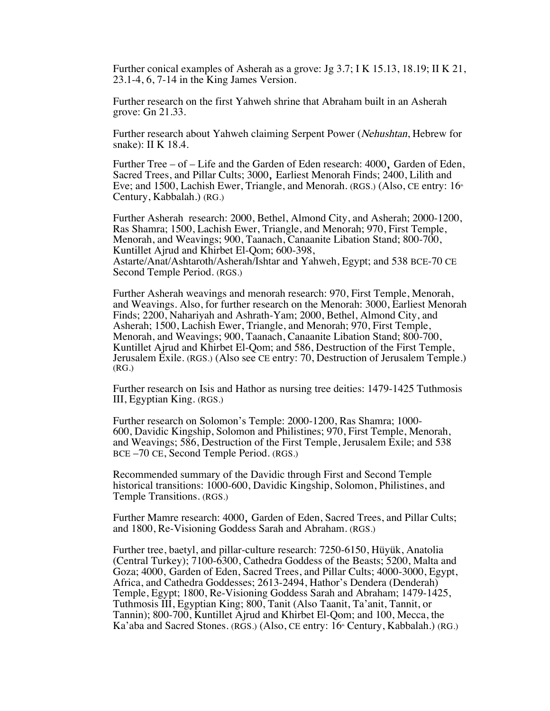Further conical examples of Asherah as a grove: Jg 3.7; I K 15.13, 18.19; II K 21, 23.1-4, 6, 7-14 in the King James Version.

Further research on the first Yahweh shrine that Abraham built in an Asherah grove: Gn 21.33.

Further research about Yahweh claiming Serpent Power (Nehushtan, Hebrew for snake): II K 18.4.

Further Tree – of – Life and the Garden of Eden research: 4000, Garden of Eden, Sacred Trees, and Pillar Cults; 3000, Earliest Menorah Finds; 2400, Lilith and Eve; and 1500, Lachish Ewer, Triangle, and Menorah. (RGS.) (Also, CE entry:  $16<sup>th</sup>$ Century, Kabbalah.) (RG.)

Further Asherah research: 2000, Bethel, Almond City, and Asherah; 2000-1200, Ras Shamra; 1500, Lachish Ewer, Triangle, and Menorah; 970, First Temple, Menorah, and Weavings; 900, Taanach, Canaanite Libation Stand; 800-700, Kuntillet Ajrud and Khirbet El-Qom; 600-398, Astarte/Anat/Ashtaroth/Asherah/Ishtar and Yahweh, Egypt; and 538 BCE-70 CE Second Temple Period. (RGS.)

Further Asherah weavings and menorah research: 970, First Temple, Menorah, and Weavings. Also, for further research on the Menorah: 3000, Earliest Menorah Finds; 2200, Nahariyah and Ashrath-Yam; 2000, Bethel, Almond City, and Asherah; 1500, Lachish Ewer, Triangle, and Menorah; 970, First Temple, Menorah, and Weavings; 900, Taanach, Canaanite Libation Stand; 800-700, Kuntillet Ajrud and Khirbet El-Qom; and 586, Destruction of the First Temple, Jerusalem Exile. (RGS.) (Also see CE entry: 70, Destruction of Jerusalem Temple.) (RG.)

Further research on Isis and Hathor as nursing tree deities: 1479-1425 Tuthmosis III, Egyptian King. (RGS.)

Further research on Solomon's Temple: 2000-1200, Ras Shamra; 1000- 600, Davidic Kingship, Solomon and Philistines; 970, First Temple, Menorah, and Weavings; 586, Destruction of the First Temple, Jerusalem Exile; and 538 BCE –70 CE, Second Temple Period. (RGS.)

Recommended summary of the Davidic through First and Second Temple historical transitions: 1000-600, Davidic Kingship, Solomon, Philistines, and Temple Transitions. (RGS.)

Further Mamre research: 4000, Garden of Eden, Sacred Trees, and Pillar Cults; and 1800, Re-Visioning Goddess Sarah and Abraham. (RGS.)

Further tree, baetyl, and pillar-culture research: 7250-6150, Hüyük, Anatolia (Central Turkey); 7100-6300, Cathedra Goddess of the Beasts; 5200, Malta and Goza; 4000, Garden of Eden, Sacred Trees, and Pillar Cults; 4000-3000, Egypt, Africa, and Cathedra Goddesses; 2613-2494, Hathor's Dendera (Denderah) Temple, Egypt; 1800, Re-Visioning Goddess Sarah and Abraham; 1479-1425, Tuthmosis III, Egyptian King; 800, Tanit (Also Taanit, Ta'anit, Tannit, or Tannin); 800-700, Kuntillet Ajrud and Khirbet El-Qom; and 100, Mecca, the Ka'aba and Sacred Stones. (RGS.) (Also, CE entry:  $16^{\degree}$  Century, Kabbalah.) (RG.)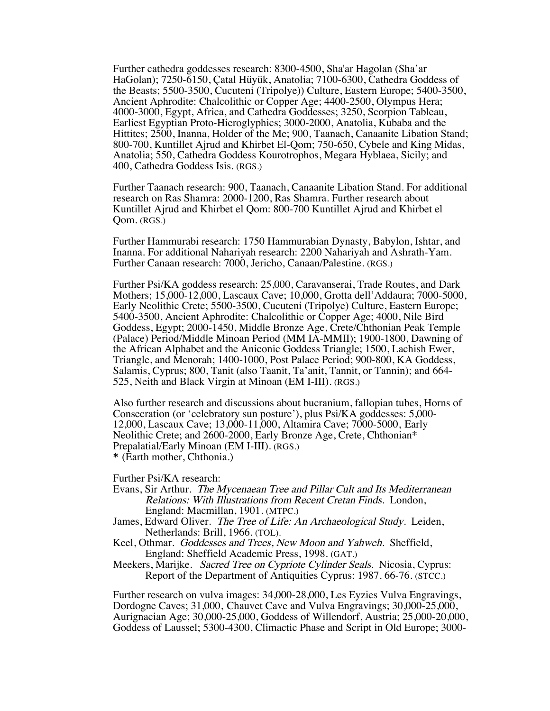Further cathedra goddesses research: 8300-4500, Sha'ar Hagolan (Sha'ar HaGolan); 7250-6150, Çatal Hüyük, Anatolia; 7100-6300, Cathedra Goddess of the Beasts; 5500-3500, Cucuteni (Tripolye)) Culture, Eastern Europe; 5400-3500, Ancient Aphrodite: Chalcolithic or Copper Age; 4400-2500, Olympus Hera; 4000-3000, Egypt, Africa, and Cathedra Goddesses; 3250, Scorpion Tableau, Earliest Egyptian Proto-Hieroglyphics; 3000-2000, Anatolia, Kubaba and the Hittites; 2500, Inanna, Holder of the Me; 900, Taanach, Canaanite Libation Stand; 800-700, Kuntillet Ajrud and Khirbet El-Qom; 750-650, Cybele and King Midas, Anatolia; 550, Cathedra Goddess Kourotrophos, Megara Hyblaea, Sicily; and 400, Cathedra Goddess Isis. (RGS.)

Further Taanach research: 900, Taanach, Canaanite Libation Stand. For additional research on Ras Shamra: 2000-1200, Ras Shamra. Further research about Kuntillet Ajrud and Khirbet el Qom: 800-700 Kuntillet Ajrud and Khirbet el Qom. (RGS.)

Further Hammurabi research: 1750 Hammurabian Dynasty, Babylon, Ishtar, and Inanna. For additional Nahariyah research: 2200 Nahariyah and Ashrath-Yam. Further Canaan research: 7000, Jericho, Canaan/Palestine. (RGS.)

Further Psi/KA goddess research: 25,000, Caravanserai, Trade Routes, and Dark Mothers; 15,000-12,000, Lascaux Cave; 10,000, Grotta dell'Addaura; 7000-5000, Early Neolithic Crete; 5500-3500, Cucuteni (Tripolye) Culture, Eastern Europe; 5400-3500, Ancient Aphrodite: Chalcolithic or Copper Age; 4000, Nile Bird Goddess, Egypt; 2000-1450, Middle Bronze Age, Crete/Chthonian Peak Temple (Palace) Period/Middle Minoan Period (MM IA-MMII); 1900-1800, Dawning of the African Alphabet and the Aniconic Goddess Triangle; 1500, Lachish Ewer, Triangle, and Menorah; 1400-1000, Post Palace Period; 900-800, KA Goddess, Salamis, Cyprus; 800, Tanit (also Taanit, Ta'anit, Tannit, or Tannin); and 664-525, Neith and Black Virgin at Minoan (EM I-III). (RGS.)

Also further research and discussions about bucranium, fallopian tubes, Horns of Consecration (or 'celebratory sun posture'), plus Psi/KA goddesses: 5,000- 12,000, Lascaux Cave; 13,000-11,000, Altamira Cave; 7000-5000, Early Neolithic Crete; and 2600-2000, Early Bronze Age, Crete, Chthonian\* Prepalatial/Early Minoan (EM I-III). (RGS.) \* (Earth mother, Chthonia.)

Further Psi/KA research:

- Evans, Sir Arthur. The Mycenaean Tree and Pillar Cult and Its Mediterranean Relations: With Illustrations from Recent Cretan Finds. London, England: Macmillan, 1901. (MTPC.)
- James, Edward Oliver. The Tree of Life: An Archaeological Study. Leiden, Netherlands: Brill, 1966. (TOL).
- Keel, Othmar. Goddesses and Trees, New Moon and Yahweh. Sheffield, England: Sheffield Academic Press, 1998. (GAT.)
- Meekers, Marijke. Sacred Tree on Cypriote Cylinder Seals. Nicosia, Cyprus: Report of the Department of Antiquities Cyprus: 1987. 66-76. (STCC.)

Further research on vulva images: 34,000-28,000, Les Eyzies Vulva Engravings, Dordogne Caves; 31,000, Chauvet Cave and Vulva Engravings; 30,000-25,000, Aurignacian Age; 30,000-25,000, Goddess of Willendorf, Austria; 25,000-20,000, Goddess of Laussel; 5300-4300, Climactic Phase and Script in Old Europe; 3000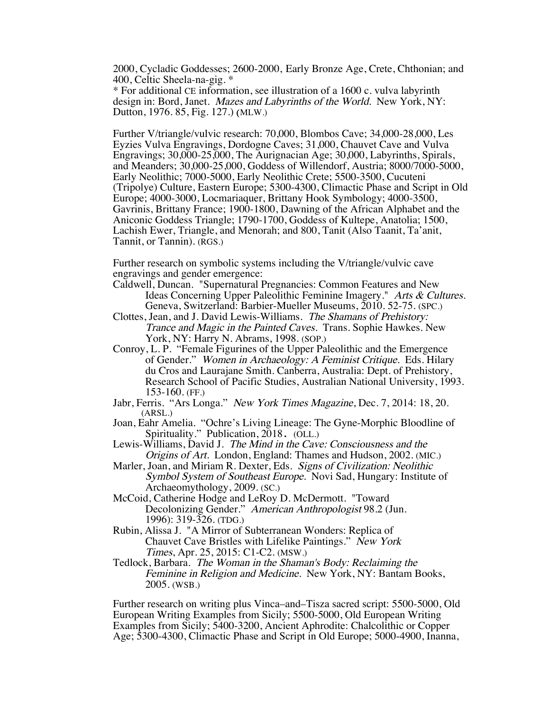2000, Cycladic Goddesses; 2600-2000, Early Bronze Age, Crete, Chthonian; and 400, Celtic Sheela-na-gig. \*

\* For additional CE information, see illustration of a 1600 c. vulva labyrinth design in: Bord, Janet. Mazes and Labyrinths of the World. New York, NY: Dutton, 1976. 85, Fig. 127.) (MLW.)

Further V/triangle/vulvic research: 70,000, Blombos Cave; 34,000-28,000, Les Eyzies Vulva Engravings, Dordogne Caves; 31,000, Chauvet Cave and Vulva Engravings; 30,000-25,000, The Aurignacian Age; 30,000, Labyrinths, Spirals, and Meanders; 30,000-25,000, Goddess of Willendorf, Austria; 8000/7000-5000, Early Neolithic; 7000-5000, Early Neolithic Crete; 5500-3500, Cucuteni (Tripolye) Culture, Eastern Europe; 5300-4300, Climactic Phase and Script in Old Europe; 4000-3000, Locmariaquer, Brittany Hook Symbology; 4000-3500, Gavrinis, Brittany France; 1900-1800, Dawning of the African Alphabet and the Aniconic Goddess Triangle; 1790-1700, Goddess of Kultepe, Anatolia; 1500, Lachish Ewer, Triangle, and Menorah; and 800, Tanit (Also Taanit, Ta'anit, Tannit, or Tannin). (RGS.)

Further research on symbolic systems including the V/triangle/vulvic cave engravings and gender emergence:

- Caldwell, Duncan. "Supernatural Pregnancies: Common Features and New Ideas Concerning Upper Paleolithic Feminine Imagery." Arts & Cultures. Geneva, Switzerland: Barbier-Mueller Museums, 2010. 52-75. (SPC.)
- Clottes, Jean, and J. David Lewis-Williams. The Shamans of Prehistory: Trance and Magic in the Painted Caves. Trans. Sophie Hawkes. New York, NY: Harry N. Abrams, 1998. (SOP.)
- Conroy, L. P. "Female Figurines of the Upper Paleolithic and the Emergence of Gender." Women in Archaeology: A Feminist Critique. Eds. Hilary du Cros and Laurajane Smith. Canberra, Australia: Dept. of Prehistory, Research School of Pacific Studies, Australian National University, 1993. 153-160. (FF.)
- Jabr, Ferris. "Ars Longa." New York Times Magazine, Dec. 7, 2014: 18, 20. (ARSL.)
- Joan, Eahr Amelia. "Ochre's Living Lineage: The Gyne-Morphic Bloodline of Spirituality." Publication, 2018. (OLL.)
- Lewis-Williams, David J. The Mind in the Cave: Consciousness and the Origins of Art. London, England: Thames and Hudson, 2002. (MIC.)
- Marler, Joan, and Miriam R. Dexter, Eds. Signs of Civilization: Neolithic Symbol System of Southeast Europe. Novi Sad, Hungary: Institute of Archaeomythology, 2009. (SC.)
- McCoid, Catherine Hodge and LeRoy D. McDermott. "Toward Decolonizing Gender." American Anthropologist 98.2 (Jun. 1996): 319-326. (TDG.)
- Rubin, Alissa J. "A Mirror of Subterranean Wonders: Replica of Chauvet Cave Bristles with Lifelike Paintings." New York Times, Apr. 25, 2015: C1-C2. (MSW.)
- Tedlock, Barbara. The Woman in the Shaman's Body: Reclaiming the Feminine in Religion and Medicine. New York, NY: Bantam Books, 2005. (WSB.)

Further research on writing plus Vinca–and–Tisza sacred script: 5500-5000, Old European Writing Examples from Sicily; 5500-5000, Old European Writing Examples from Sicily; 5400-3200, Ancient Aphrodite: Chalcolithic or Copper Age; 5300-4300, Climactic Phase and Script in Old Europe; 5000-4900, Inanna,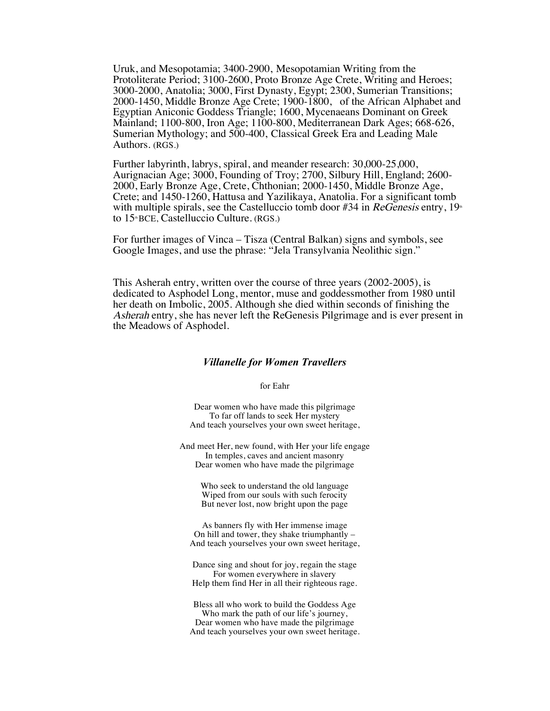Uruk, and Mesopotamia; 3400-2900, Mesopotamian Writing from the Protoliterate Period; 3100-2600, Proto Bronze Age Crete, Writing and Heroes; 3000-2000, Anatolia; 3000, First Dynasty, Egypt; 2300, Sumerian Transitions; 2000-1450, Middle Bronze Age Crete; 1900-1800, of the African Alphabet and Egyptian Aniconic Goddess Triangle; 1600, Mycenaeans Dominant on Greek Mainland; 1100-800, Iron Age; 1100-800, Mediterranean Dark Ages; 668-626, Sumerian Mythology; and 500-400, Classical Greek Era and Leading Male Authors. (RGS.)

Further labyrinth, labrys, spiral, and meander research: 30,000-25,000, Aurignacian Age; 3000, Founding of Troy; 2700, Silbury Hill, England; 2600- 2000, Early Bronze Age, Crete, Chthonian; 2000-1450, Middle Bronze Age, Crete; and 1450-1260, Hattusa and Yazilikaya, Anatolia. For a significant tomb with multiple spirals, see the Castelluccio tomb door #34 in ReGenesis entry,  $19<sup>th</sup>$ to  $15<sup>th</sup>$  BCE. Castelluccio Culture. (RGS.)

For further images of Vinca – Tisza (Central Balkan) signs and symbols, see Google Images, and use the phrase: "Jela Transylvania Neolithic sign."

This Asherah entry, written over the course of three years (2002-2005), is dedicated to Asphodel Long, mentor, muse and goddessmother from 1980 until her death on Imbolic, 2005. Although she died within seconds of finishing the Asherah entry, she has never left the ReGenesis Pilgrimage and is ever present in the Meadows of Asphodel.

# *Villanelle for Women Travellers*

for Eahr

Dear women who have made this pilgrimage To far off lands to seek Her mystery And teach yourselves your own sweet heritage,

And meet Her, new found, with Her your life engage In temples, caves and ancient masonry Dear women who have made the pilgrimage

> Who seek to understand the old language Wiped from our souls with such ferocity But never lost, now bright upon the page

As banners fly with Her immense image On hill and tower, they shake triumphantly – And teach yourselves your own sweet heritage,

Dance sing and shout for joy, regain the stage For women everywhere in slavery Help them find Her in all their righteous rage.

Bless all who work to build the Goddess Age Who mark the path of our life's journey, Dear women who have made the pilgrimage And teach yourselves your own sweet heritage.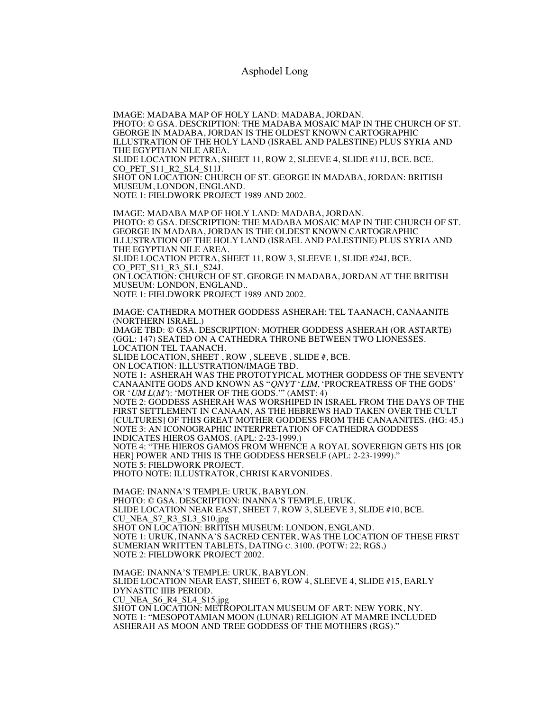# Asphodel Long

IMAGE: MADABA MAP OF HOLY LAND: MADABA, JORDAN. PHOTO: © GSA. DESCRIPTION: THE MADABA MOSAIC MAP IN THE CHURCH OF ST. GEORGE IN MADABA, JORDAN IS THE OLDEST KNOWN CARTOGRAPHIC ILLUSTRATION OF THE HOLY LAND (ISRAEL AND PALESTINE) PLUS SYRIA AND THE EGYPTIAN NILE AREA. SLIDE LOCATION PETRA, SHEET 11, ROW 2, SLEEVE 4, SLIDE #11J, BCE. BCE. CO PET S11 R2 SL4 S11J. SHOT ON LOCATION: CHURCH OF ST. GEORGE IN MADABA, JORDAN: BRITISH MUSEUM, LONDON, ENGLAND. NOTE 1: FIELDWORK PROJECT 1989 AND 2002. IMAGE: MADABA MAP OF HOLY LAND: MADABA, JORDAN. PHOTO: © GSA. DESCRIPTION: THE MADABA MOSAIC MAP IN THE CHURCH OF ST. GEORGE IN MADABA, JORDAN IS THE OLDEST KNOWN CARTOGRAPHIC ILLUSTRATION OF THE HOLY LAND (ISRAEL AND PALESTINE) PLUS SYRIA AND THE EGYPTIAN NILE AREA. SLIDE LOCATION PETRA, SHEET 11, ROW 3, SLEEVE 1, SLIDE #24J, BCE. CO\_PET\_S11\_R3\_SL1\_S24J. ON LOCATION: CHURCH OF ST. GEORGE IN MADABA, JORDAN AT THE BRITISH MUSEUM: LONDON, ENGLAND.. NOTE 1: FIELDWORK PROJECT 1989 AND 2002. IMAGE: CATHEDRA MOTHER GODDESS ASHERAH: TEL TAANACH, CANAANITE (NORTHERN ISRAEL.) IMAGE TBD: © GSA. DESCRIPTION: MOTHER GODDESS ASHERAH (OR ASTARTE) (GGL: 147) SEATED ON A CATHEDRA THRONE BETWEEN TWO LIONESSES. LOCATION TEL TAANACH. SLIDE LOCATION, SHEET , ROW , SLEEVE , SLIDE #, BCE. ON LOCATION: ILLUSTRATION/IMAGE TBD. NOTE 1: ASHERAH WAS THE PROTOTYPICAL MOTHER GODDESS OF THE SEVENTY CANAANITE GODS AND KNOWN AS "QNYT 'LIM, 'PROCREATRESS OF THE GODS' OR 'UM <sup>L</sup>(M'): 'MOTHER OF THE GODS.'" (AMST: 4) NOTE 2: GODDESS ASHERAH WAS WORSHIPED IN ISRAEL FROM THE DAYS OF THE FIRST SETTLEMENT IN CANAAN, AS THE HEBREWS HAD TAKEN OVER THE CULT [CULTURES] OF THIS GREAT MOTHER GODDESS FROM THE CANAANITES. (HG: 45.) NOTE 3: AN ICONOGRAPHIC INTERPRETATION OF CATHEDRA GODDESS INDICATES HIEROS GAMOS. (APL: 2-23-1999.) NOTE 4: "THE HIEROS GAMOS FROM WHENCE A ROYAL SOVEREIGN GETS HIS [OR HER] POWER AND THIS IS THE GODDESS HERSELF (APL: 2-23-1999)." NOTE 5: FIELDWORK PROJECT. PHOTO NOTE: ILLUSTRATOR, CHRISI KARVONIDES. IMAGE: INANNA'S TEMPLE: URUK, BABYLON.

PHOTO: © GSA. DESCRIPTION: INANNA'S TEMPLE, URUK. SLIDE LOCATION NEAR EAST, SHEET 7, ROW 3, SLEEVE 3, SLIDE #10, BCE. CU\_NEA\_S7\_R3\_SL3\_S10.jpg SHOT ON LOCATION: BRITISH MUSEUM: LONDON, ENGLAND. NOTE 1: URUK, INANNA'S SACRED CENTER, WAS THE LOCATION OF THESE FIRST SUMERIAN WRITTEN TABLETS, DATING C. 3100. (POTW: 22; RGS.) NOTE 2: FIELDWORK PROJECT 2002.

IMAGE: INANNA'S TEMPLE: URUK, BABYLON. SLIDE LOCATION NEAR EAST, SHEET 6, ROW 4, SLEEVE 4, SLIDE #15, EARLY DYNASTIC IIIB PERIOD. CU\_NEA\_S6\_R4\_SL4\_S15.jpg SHOT ON LOCATION: METROPOLITAN MUSEUM OF ART: NEW YORK, NY. NOTE 1: "MESOPOTAMIAN MOON (LUNAR) RELIGION AT MAMRE INCLUDED ASHERAH AS MOON AND TREE GODDESS OF THE MOTHERS (RGS)."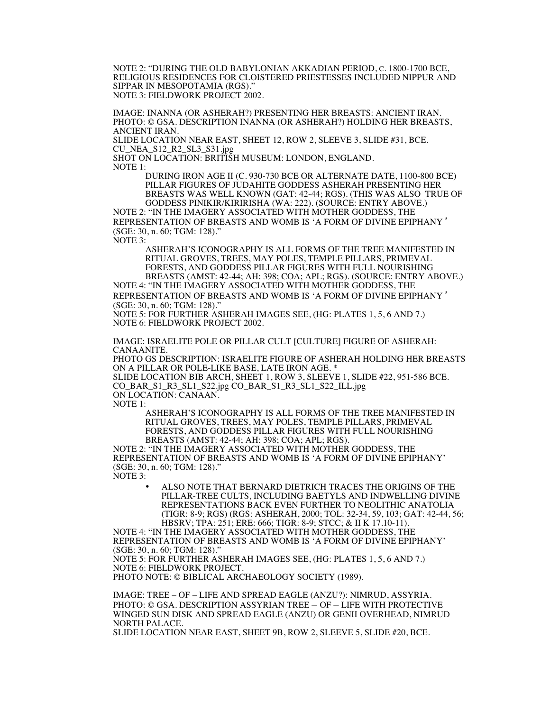NOTE 2: "DURING THE OLD BABYLONIAN AKKADIAN PERIOD, C. 1800-1700 BCE, RELIGIOUS RESIDENCES FOR CLOISTERED PRIESTESSES INCLUDED NIPPUR AND SIPPAR IN MESOPOTAMIA (RGS)." NOTE 3: FIELDWORK PROJECT 2002.

IMAGE: INANNA (OR ASHERAH?) PRESENTING HER BREASTS: ANCIENT IRAN. PHOTO: © GSA. DESCRIPTION INANNA (OR ASHERAH?) HOLDING HER BREASTS, ANCIENT IRAN.

SLIDE LOCATION NEAR EAST, SHEET 12, ROW 2, SLEEVE 3, SLIDE #31, BCE. CU\_NEA\_S12\_R2\_SL3\_S31.jpg

SHOT ON LOCATION: BRITISH MUSEUM: LONDON, ENGLAND. NOTE 1:

DURING IRON AGE II (C. 930-730 BCE OR ALTERNATE DATE, 1100-800 BCE) PILLAR FIGURES OF JUDAHITE GODDESS ASHERAH PRESENTING HER BREASTS WAS WELL KNOWN (GAT: 42-44; RGS). (THIS WAS ALSO TRUE OF GODDESS PINIKIR/KIRIRISHA (WA: 222). (SOURCE: ENTRY ABOVE.)

NOTE 2: "IN THE IMAGERY ASSOCIATED WITH MOTHER GODDESS, THE REPRESENTATION OF BREASTS AND WOMB IS 'A FORM OF DIVINE EPIPHANY' (SGE: 30, n. 60; TGM: 128)."

NOTE 3:

ASHERAH'S ICONOGRAPHY IS ALL FORMS OF THE TREE MANIFESTED IN RITUAL GROVES, TREES, MAY POLES, TEMPLE PILLARS, PRIMEVAL FORESTS, AND GODDESS PILLAR FIGURES WITH FULL NOURISHING BREASTS (AMST: 42-44; AH: 398; COA; APL; RGS). (SOURCE: ENTRY ABOVE.)

NOTE 4: "IN THE IMAGERY ASSOCIATED WITH MOTHER GODDESS, THE REPRESENTATION OF BREASTS AND WOMB IS 'A FORM OF DIVINE EPIPHANY' (SGE: 30, n. 60; TGM: 128)."

NOTE 5: FOR FURTHER ASHERAH IMAGES SEE, (HG: PLATES 1, 5, 6 AND 7.) NOTE 6: FIELDWORK PROJECT 2002.

IMAGE: ISRAELITE POLE OR PILLAR CULT [CULTURE] FIGURE OF ASHERAH: CANAANITE.

PHOTO GS DESCRIPTION: ISRAELITE FIGURE OF ASHERAH HOLDING HER BREASTS ON A PILLAR OR POLE-LIKE BASE, LATE IRON AGE. \* SLIDE LOCATION BIB ARCH, SHEET 1, ROW 3, SLEEVE 1, SLIDE #22, 951-586 BCE. CO\_BAR\_S1\_R3\_SL1\_S22.jpg CO\_BAR\_S1\_R3\_SL1\_S22\_ILL.jpg ON LOCATION: CANAAN.

NOTE 1:

ASHERAH'S ICONOGRAPHY IS ALL FORMS OF THE TREE MANIFESTED IN RITUAL GROVES, TREES, MAY POLES, TEMPLE PILLARS, PRIMEVAL FORESTS, AND GODDESS PILLAR FIGURES WITH FULL NOURISHING BREASTS (AMST: 42-44; AH: 398; COA; APL; RGS).

NOTE 2: "IN THE IMAGERY ASSOCIATED WITH MOTHER GODDESS, THE REPRESENTATION OF BREASTS AND WOMB IS 'A FORM OF DIVINE EPIPHANY' (SGE: 30, n. 60; TGM: 128)."

NOTE 3:

• ALSO NOTE THAT BERNARD DIETRICH TRACES THE ORIGINS OF THE PILLAR-TREE CULTS, INCLUDING BAETYLS AND INDWELLING DIVINE REPRESENTATIONS BACK EVEN FURTHER TO NEOLITHIC ANATOLIA (TIGR: 8-9; RGS) (RGS: ASHERAH, 2000; TOL: 32-34, 59, 103; GAT: 42-44, 56; HBSRV; TPA: 251; ERE: 666; TIGR: 8-9; STCC; & II K 17.10-11).

NOTE 4: "IN THE IMAGERY ASSOCIATED WITH MOTHER GODDESS, THE REPRESENTATION OF BREASTS AND WOMB IS 'A FORM OF DIVINE EPIPHANY' (SGE: 30, n. 60; TGM: 128)." NOTE 5: FOR FURTHER ASHERAH IMAGES SEE, (HG: PLATES 1, 5, 6 AND 7.)

NOTE 6: FIELDWORK PROJECT.

PHOTO NOTE: © BIBLICAL ARCHAEOLOGY SOCIETY (1989).

IMAGE: TREE – OF – LIFE AND SPREAD EAGLE (ANZU?): NIMRUD, ASSYRIA. PHOTO: © GSA. DESCRIPTION ASSYRIAN TREE – OF – LIFE WITH PROTECTIVE WINGED SUN DISK AND SPREAD EAGLE (ANZU) OR GENII OVERHEAD, NIMRUD NORTH PALACE.

SLIDE LOCATION NEAR EAST, SHEET 9B, ROW 2, SLEEVE 5, SLIDE #20, BCE.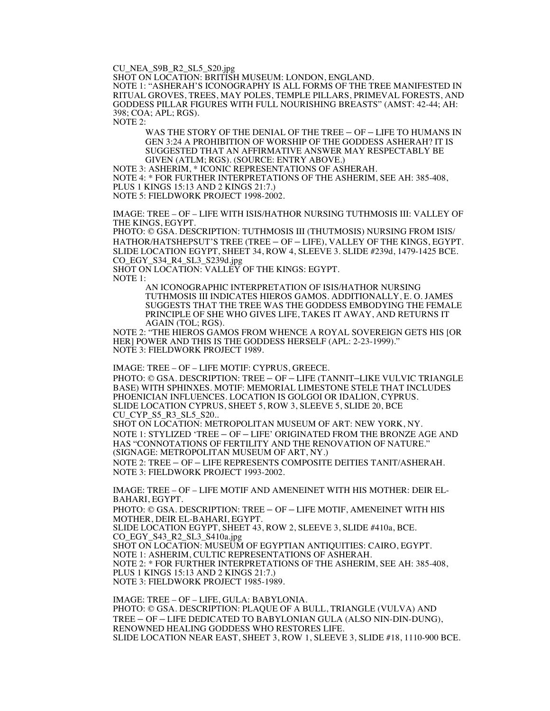CU\_NEA\_S9B\_R2\_SL5\_S20.jpg

SHOT ON LOCATION: BRITISH MUSEUM: LONDON, ENGLAND. NOTE 1: "ASHERAH'S ICONOGRAPHY IS ALL FORMS OF THE TREE MANIFESTED IN RITUAL GROVES, TREES, MAY POLES, TEMPLE PILLARS, PRIMEVAL FORESTS, AND GODDESS PILLAR FIGURES WITH FULL NOURISHING BREASTS" (AMST: 42-44; AH: 398; COA; APL; RGS).

NOTE 2:

WAS THE STORY OF THE DENIAL OF THE TREE – OF – LIFE TO HUMANS IN GEN 3:24 A PROHIBITION OF WORSHIP OF THE GODDESS ASHERAH? IT IS SUGGESTED THAT AN AFFIRMATIVE ANSWER MAY RESPECTABLY BE GIVEN (ATLM; RGS). (SOURCE: ENTRY ABOVE.)

NOTE 3: ASHERIM, \* ICONIC REPRESENTATIONS OF ASHERAH. NOTE 4: \* FOR FURTHER INTERPRETATIONS OF THE ASHERIM, SEE AH: 385-408, PLUS 1 KINGS 15:13 AND 2 KINGS 21:7.) NOTE 5: FIELDWORK PROJECT 1998-2002.

IMAGE: TREE – OF – LIFE WITH ISIS/HATHOR NURSING TUTHMOSIS III: VALLEY OF THE KINGS, EGYPT.

PHOTO: © GSA. DESCRIPTION: TUTHMOSIS III (THUTMOSIS) NURSING FROM ISIS/ HATHOR/HATSHEPSUT'S TREE (TREE – OF – LIFE), VALLEY OF THE KINGS, EGYPT. SLIDE LOCATION EGYPT, SHEET 34, ROW 4, SLEEVE 3. SLIDE #239d, 1479-1425 BCE. CO\_EGY\_S34\_R4\_SL3\_S239d.jpg

SHOT ON LOCATION: VALLEY OF THE KINGS: EGYPT. NOTE 1:

> AN ICONOGRAPHIC INTERPRETATION OF ISIS/HATHOR NURSING TUTHMOSIS III INDICATES HIEROS GAMOS. ADDITIONALLY, E. O. JAMES SUGGESTS THAT THE TREE WAS THE GODDESS EMBODYING THE FEMALE PRINCIPLE OF SHE WHO GIVES LIFE, TAKES IT AWAY, AND RETURNS IT AGAIN (TOL; RGS).

NOTE 2: "THE HIEROS GAMOS FROM WHENCE A ROYAL SOVEREIGN GETS HIS [OR HER] POWER AND THIS IS THE GODDESS HERSELF (APL: 2-23-1999)." NOTE 3: FIELDWORK PROJECT 1989.

IMAGE: TREE – OF – LIFE MOTIF: CYPRUS, GREECE. PHOTO: © GSA. DESCRIPTION: TREE – OF – LIFE (TANNIT–LIKE VULVIC TRIANGLE BASE) WITH SPHINXES. MOTIF: MEMORIAL LIMESTONE STELE THAT INCLUDES PHOENICIAN INFLUENCES. LOCATION IS GOLGOI OR IDALION, CYPRUS. SLIDE LOCATION CYPRUS, SHEET 5, ROW 3, SLEEVE 5, SLIDE 20, BCE CU\_CYP\_S5\_R3\_SL5\_S20..

SHOT ON LOCATION: METROPOLITAN MUSEUM OF ART: NEW YORK, NY. NOTE 1: STYLIZED 'TREE – OF – LIFE' ORIGINATED FROM THE BRONZE AGE AND HAS "CONNOTATIONS OF FERTILITY AND THE RENOVATION OF NATURE." (SIGNAGE: METROPOLITAN MUSEUM OF ART, NY.) NOTE 2: TREE – OF – LIFE REPRESENTS COMPOSITE DEITIES TANIT/ASHERAH.

NOTE 3: FIELDWORK PROJECT 1993-2002.

IMAGE: TREE – OF – LIFE MOTIF AND AMENEINET WITH HIS MOTHER: DEIR EL-BAHARI, EGYPT.

PHOTO: © GSA. DESCRIPTION: TREE – OF – LIFE MOTIF, AMENEINET WITH HIS MOTHER, DEIR EL-BAHARI, EGYPT.

SLIDE LOCATION EGYPT, SHEET 43, ROW 2, SLEEVE 3, SLIDE #410a, BCE. CO\_EGY\_S43\_R2\_SL3\_S410a.jpg

SHOT ON LOCATION: MUSEUM OF EGYPTIAN ANTIQUITIES: CAIRO, EGYPT. NOTE 1: ASHERIM, CULTIC REPRESENTATIONS OF ASHERAH. NOTE 2: \* FOR FURTHER INTERPRETATIONS OF THE ASHERIM, SEE AH: 385-408,

PLUS 1 KINGS 15:13 AND 2 KINGS 21:7.)

NOTE 3: FIELDWORK PROJECT 1985-1989.

IMAGE: TREE – OF – LIFE, GULA: BABYLONIA. PHOTO: © GSA. DESCRIPTION: PLAQUE OF A BULL, TRIANGLE (VULVA) AND TREE – OF – LIFE DEDICATED TO BABYLONIAN GULA (ALSO NIN-DIN-DUNG), RENOWNED HEALING GODDESS WHO RESTORES LIFE. SLIDE LOCATION NEAR EAST, SHEET 3, ROW 1, SLEEVE 3, SLIDE #18, 1110-900 BCE.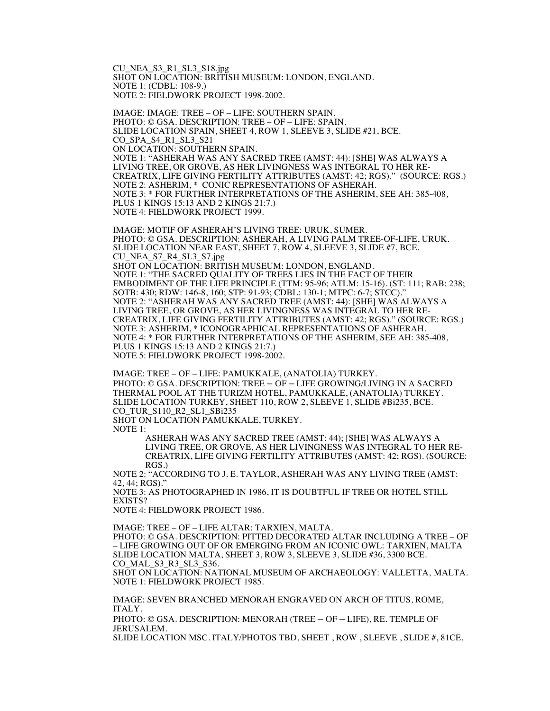CU\_NEA\_S3\_R1\_SL3\_S18.jpg SHOT ON LOCATION: BRITISH MUSEUM: LONDON, ENGLAND. NOTE 1: (CDBL: 108-9.) NOTE 2: FIELDWORK PROJECT 1998-2002.

IMAGE: IMAGE: TREE – OF – LIFE: SOUTHERN SPAIN. PHOTO: © GSA. DESCRIPTION: TREE – OF – LIFE: SPAIN. SLIDE LOCATION SPAIN, SHEET 4, ROW 1, SLEEVE 3, SLIDE #21, BCE. CO\_SPA\_S4\_R1\_SL3\_S21 ON LOCATION: SOUTHERN SPAIN. NOTE 1: "ASHERAH WAS ANY SACRED TREE (AMST: 44): [SHE] WAS ALWAYS A LIVING TREE, OR GROVE, AS HER LIVINGNESS WAS INTEGRAL TO HER RE-CREATRIX, LIFE GIVING FERTILITY ATTRIBUTES (AMST: 42; RGS)." (SOURCE: RGS.) NOTE 2: ASHERIM, \* CONIC REPRESENTATIONS OF ASHERAH. NOTE 3: \* FOR FURTHER INTERPRETATIONS OF THE ASHERIM, SEE AH: 385-408, PLUS 1 KINGS 15:13 AND 2 KINGS 21:7.) NOTE 4: FIELDWORK PROJECT 1999.

IMAGE: MOTIF OF ASHERAH'S LIVING TREE: URUK, SUMER. PHOTO: © GSA. DESCRIPTION: ASHERAH, A LIVING PALM TREE-OF-LIFE, URUK. SLIDE LOCATION NEAR EAST, SHEET 7, ROW 4, SLEEVE 3, SLIDE #7, BCE. CU\_NEA\_S7\_R4\_SL3\_S7.jpg SHOT ON LOCATION: BRITISH MUSEUM: LONDON, ENGLAND. NOTE 1: "THE SACRED QUALITY OF TREES LIES IN THE FACT OF THEIR EMBODIMENT OF THE LIFE PRINCIPLE (TTM: 95-96; ATLM: 15-16). (ST: 111; RAB: 238; SOTB: 430; RDW: 146-8, 160; STP: 91-93; CDBL: 130-1; MTPC: 6-7; STCC)." NOTE 2: "ASHERAH WAS ANY SACRED TREE (AMST: 44): [SHE] WAS ALWAYS A LIVING TREE, OR GROVE, AS HER LIVINGNESS WAS INTEGRAL TO HER RE-CREATRIX, LIFE GIVING FERTILITY ATTRIBUTES (AMST: 42; RGS)." (SOURCE: RGS.) NOTE 3: ASHERIM, \* ICONOGRAPHICAL REPRESENTATIONS OF ASHERAH. NOTE 4: \* FOR FURTHER INTERPRETATIONS OF THE ASHERIM, SEE AH: 385-408, PLUS 1 KINGS 15:13 AND 2 KINGS 21:7.) NOTE 5: FIELDWORK PROJECT 1998-2002.

IMAGE: TREE – OF – LIFE: PAMUKKALE, (ANATOLIA) TURKEY. PHOTO: © GSA. DESCRIPTION: TREE – OF – LIFE GROWING/LIVING IN A SACRED THERMAL POOL AT THE TURIZM HOTEL, PAMUKKALE, (ANATOLIA) TURKEY. SLIDE LOCATION TURKEY, SHEET 110, ROW 2, SLEEVE 1, SLIDE #Bi235, BCE. CO\_TUR\_S110\_R2\_SL1\_SBi235 SHOT ON LOCATION PAMUKKALE, TURKEY.

NOTE 1:

ASHERAH WAS ANY SACRED TREE (AMST: 44); [SHE] WAS ALWAYS A LIVING TREE, OR GROVE, AS HER LIVINGNESS WAS INTEGRAL TO HER RE-CREATRIX, LIFE GIVING FERTILITY ATTRIBUTES (AMST: 42; RGS). (SOURCE: RGS.)

NOTE 2: "ACCORDING TO J. E. TAYLOR, ASHERAH WAS ANY LIVING TREE (AMST: 42, 44; RGS)."

NOTE 3: AS PHOTOGRAPHED IN 1986, IT IS DOUBTFUL IF TREE OR HOTEL STILL EXISTS?

NOTE 4: FIELDWORK PROJECT 1986.

IMAGE: TREE – OF – LIFE ALTAR: TARXIEN, MALTA. PHOTO: © GSA. DESCRIPTION: PITTED DECORATED ALTAR INCLUDING A TREE – OF – LIFE GROWING OUT OF OR EMERGING FROM AN ICONIC OWL: TARXIEN, MALTA SLIDE LOCATION MALTA, SHEET 3, ROW 3, SLEEVE 3, SLIDE #36, 3300 BCE. CO MAL S3 R3 SL3 S36.

SHOT ON LOCATION: NATIONAL MUSEUM OF ARCHAEOLOGY: VALLETTA, MALTA. NOTE 1: FIELDWORK PROJECT 1985.

IMAGE: SEVEN BRANCHED MENORAH ENGRAVED ON ARCH OF TITUS, ROME, ITALY.

PHOTO: © GSA. DESCRIPTION: MENORAH (TREE – OF – LIFE), RE. TEMPLE OF JERUSALEM.

SLIDE LOCATION MSC. ITALY/PHOTOS TBD, SHEET , ROW , SLEEVE , SLIDE #, 81CE.